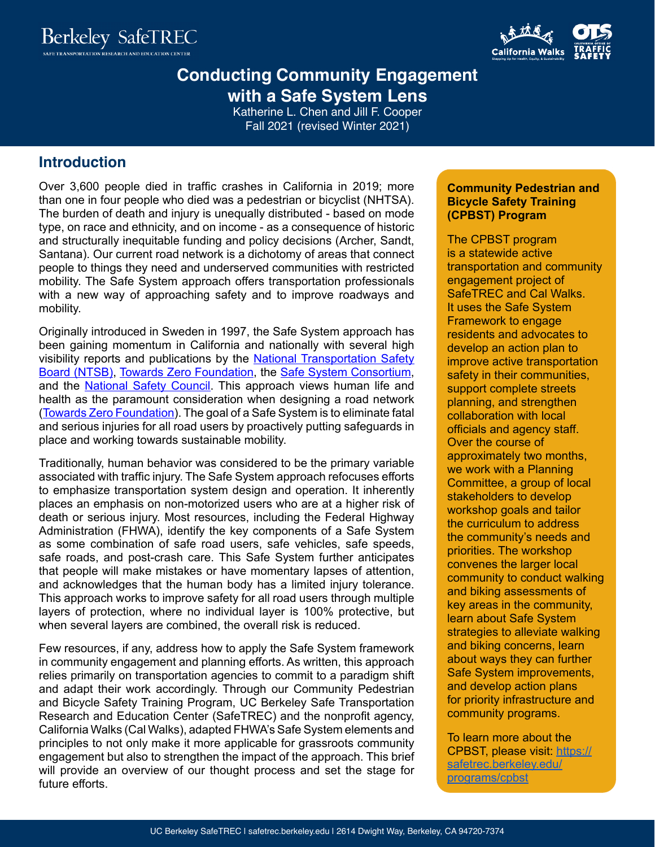



# **Conducting Community Engagement with a Safe System Lens**

Katherine L. Chen and Jill F. Cooper Fall 2021 (revised Winter 2021)

### **Introduction**

Over 3,600 people died in traffic crashes in California in 2019; more than one in four people who died was a pedestrian or bicyclist (NHTSA). The burden of death and injury is unequally distributed - based on mode type, on race and ethnicity, and on income - as a consequence of historic and structurally inequitable funding and policy decisions (Archer, Sandt, Santana). Our current road network is a dichotomy of areas that connect people to things they need and underserved communities with restricted mobility. The Safe System approach offers transportation professionals with a new way of approaching safety and to improve roadways and mobility.

Originally introduced in Sweden in 1997, the Safe System approach has been gaining momentum in California and nationally with several high visibility reports and publications by the **[National Transportation Safety](https://www.ntsb.gov/safety/mwl/Pages/mwl-21-22/mwl-hs-02.aspx)** [Board \(NTSB\),](https://www.ntsb.gov/safety/mwl/Pages/mwl-21-22/mwl-hs-02.aspx) [Towards Zero Foundation](http://www.towardszerofoundation.org/thesafesystem), the [Safe System Consortium](https://www.jhsph.edu/research/centers-and-institutes/johns-hopkins-center-for-injury-research-and-policy/our-impact/documents/recommendations-of-the-safe-system-consortium.pdf), and the [National Safety Council.](https://www.nsc.org/safety-first-blog/road-to-zero-taking-a-safe-system-approach) This approach views human life and health as the paramount consideration when designing a road network [\(Towards Zero Foundation](http://www.towardszerofoundation.org/thesafesystem)). The goal of a Safe System is to eliminate fatal and serious injuries for all road users by proactively putting safeguards in place and working towards sustainable mobility.

Traditionally, human behavior was considered to be the primary variable associated with traffic injury. The Safe System approach refocuses efforts to emphasize transportation system design and operation. It inherently places an emphasis on non-motorized users who are at a higher risk of death or serious injury. Most resources, including the Federal Highway Administration (FHWA), identify the key components of a Safe System as some combination of safe road users, safe vehicles, safe speeds, safe roads, and post-crash care. This Safe System further anticipates that people will make mistakes or have momentary lapses of attention, and acknowledges that the human body has a limited injury tolerance. This approach works to improve safety for all road users through multiple layers of protection, where no individual layer is 100% protective, but when several layers are combined, the overall risk is reduced.

Few resources, if any, address how to apply the Safe System framework in community engagement and planning efforts. As written, this approach relies primarily on transportation agencies to commit to a paradigm shift and adapt their work accordingly. Through our Community Pedestrian and Bicycle Safety Training Program, UC Berkeley Safe Transportation Research and Education Center (SafeTREC) and the nonprofit agency, California Walks (Cal Walks), adapted FHWA's Safe System elements and principles to not only make it more applicable for grassroots community engagement but also to strengthen the impact of the approach. This brief will provide an overview of our thought process and set the stage for future efforts.

#### **Community Pedestrian and Bicycle Safety Training (CPBST) Program**

The CPBST program is a statewide active transportation and community engagement project of SafeTREC and Cal Walks. It uses the Safe System Framework to engage residents and advocates to develop an action plan to improve active transportation safety in their communities, support complete streets planning, and strengthen collaboration with local officials and agency staff. Over the course of approximately two months, we work with a Planning Committee, a group of local stakeholders to develop workshop goals and tailor the curriculum to address the community's needs and priorities. The workshop convenes the larger local community to conduct walking and biking assessments of key areas in the community, learn about Safe System strategies to alleviate walking and biking concerns, learn about ways they can further Safe System improvements, and develop action plans for priority infrastructure and community programs.

To learn more about the CPBST, please visit: [https://](https://safetrec.berkeley.edu/programs/cpbst) [safetrec.berkeley.edu/](https://safetrec.berkeley.edu/programs/cpbst) [programs/cpbst](https://safetrec.berkeley.edu/programs/cpbst)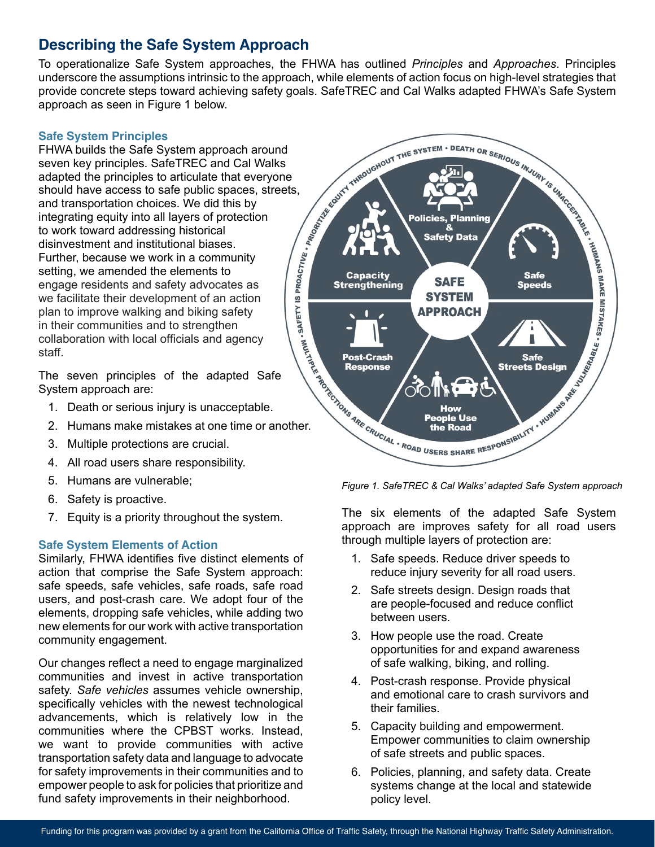# **Describing the Safe System Approach**

To operationalize Safe System approaches, the FHWA has outlined *Principles* and *Approaches*. Principles underscore the assumptions intrinsic to the approach, while elements of action focus on high-level strategies that provide concrete steps toward achieving safety goals. SafeTREC and Cal Walks adapted FHWA's Safe System approach as seen in Figure 1 below.

#### **Safe System Principles**

FHWA builds the Safe System approach around seven key principles. SafeTREC and Cal Walks should have access to safe public spaces, streets, and transportation choices. We did this by integrating equity into all layers of protection to work toward addressing historical disinvestment and institutional biases. Further, because we work in a community setting, we amended the elements to engage residents and safety advocates as we facilitate their development of an action plan to improve walking and biking safety in their communities and to strengthen collaboration with local officials and agency staff.

The seven principles of the adapted Safe System approach are:

- 1. Death or serious injury is unacceptable.
- 2. Humans make mistakes at one time or another.
- 3. Multiple protections are crucial.
- 4. All road users share responsibility.
- 5. Humans are vulnerable;
- 6. Safety is proactive.
- 7. Equity is a priority throughout the system.

#### **Safe System Elements of Action**

Similarly, FHWA identifies five distinct elements of action that comprise the Safe System approach: safe speeds, safe vehicles, safe roads, safe road users, and post-crash care. We adopt four of the elements, dropping safe vehicles, while adding two new elements for our work with active transportation community engagement.

Our changes reflect a need to engage marginalized communities and invest in active transportation safety. *Safe vehicles* assumes vehicle ownership, specifically vehicles with the newest technological advancements, which is relatively low in the communities where the CPBST works. Instead, we want to provide communities with active transportation safety data and language to advocate for safety improvements in their communities and to empower people to ask for policies that prioritize and fund safety improvements in their neighborhood.



*Figure 1. SafeTREC & Cal Walks' adapted Safe System approach* 

The six elements of the adapted Safe System approach are improves safety for all road users through multiple layers of protection are:

- 1. Safe speeds. Reduce driver speeds to reduce injury severity for all road users.
- 2. Safe streets design. Design roads that are people-focused and reduce conflict between users.
- 3. How people use the road. Create opportunities for and expand awareness of safe walking, biking, and rolling.
- 4. Post-crash response. Provide physical and emotional care to crash survivors and their families.
- 5. Capacity building and empowerment. Empower communities to claim ownership of safe streets and public spaces.
- 6. Policies, planning, and safety data. Create systems change at the local and statewide policy level.